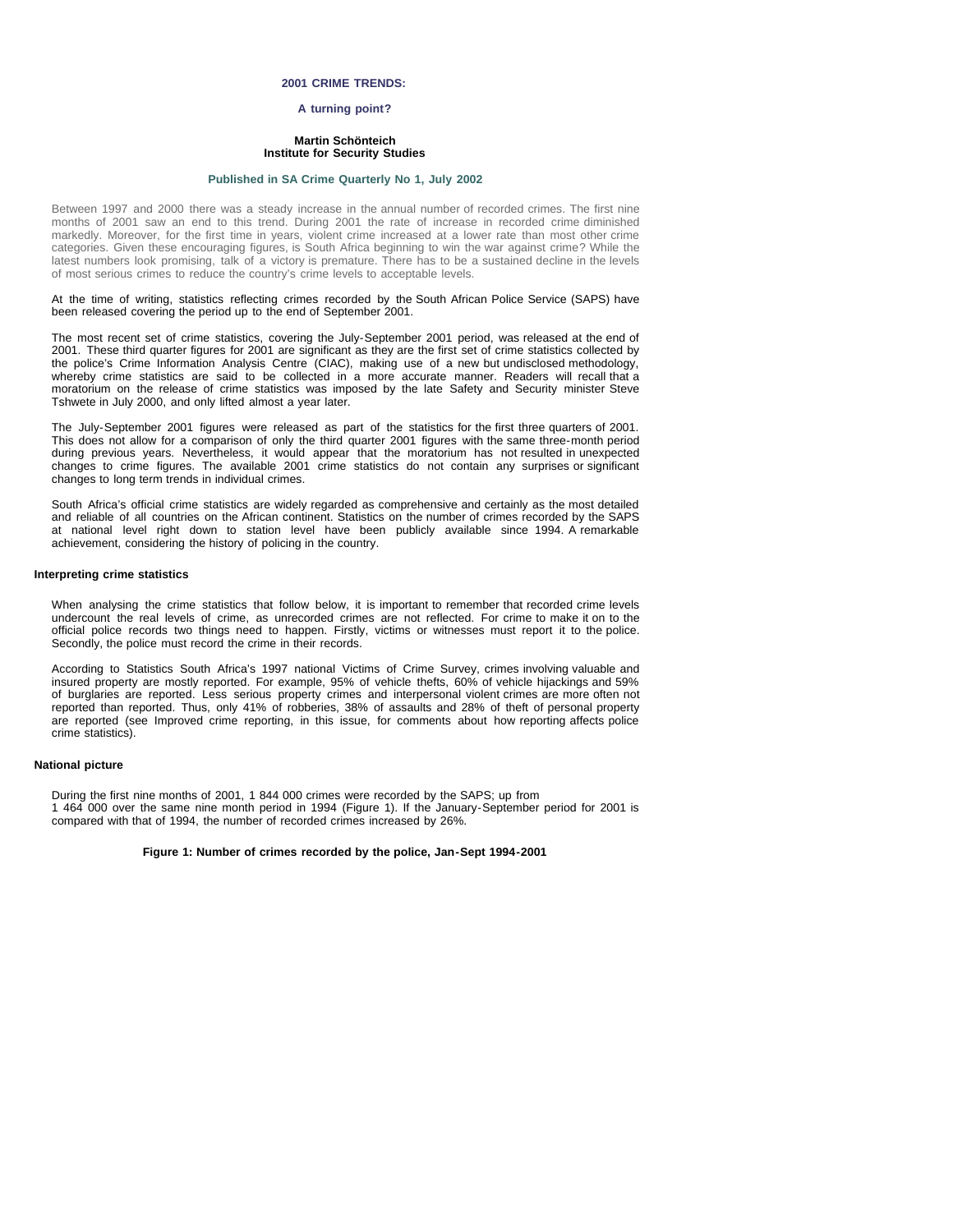### **2001 CRIME TRENDS:**

## **A turning point?**

### **Martin Schönteich Institute for Security Studies**

### **[Published in SA Crime Quarterly No 1, July 2002](file:///Volumes/ISS%20Website/issafrica.org%202007-05-31/CrimeQ/No.1/Contents.html)**

Between 1997 and 2000 there was a steady increase in the annual number of recorded crimes. The first nine months of 2001 saw an end to this trend. During 2001 the rate of increase in recorded crime diminished markedly. Moreover, for the first time in years, violent crime increased at a lower rate than most other crime categories. Given these encouraging figures, is South Africa beginning to win the war against crime? While the latest numbers look promising, talk of a victory is premature. There has to be a sustained decline in the levels of most serious crimes to reduce the country's crime levels to acceptable levels.

#### At the time of writing, statistics reflecting crimes recorded by the South African Police Service (SAPS) have been released covering the period up to the end of September 2001.

The most recent set of crime statistics, covering the July-September 2001 period, was released at the end of 2001. These third quarter figures for 2001 are significant as they are the first set of crime statistics collected by the police's Crime Information Analysis Centre (CIAC), making use of a new but undisclosed methodology, whereby crime statistics are said to be collected in a more accurate manner. Readers will recall that a moratorium on the release of crime statistics was imposed by the late Safety and Security minister Steve Tshwete in July 2000, and only lifted almost a year later.

The July-September 2001 figures were released as part of the statistics for the first three quarters of 2001. This does not allow for a comparison of only the third quarter 2001 figures with the same three-month period during previous years. Nevertheless, it would appear that the moratorium has not resulted in unexpected changes to crime figures. The available 2001 crime statistics do not contain any surprises or significant changes to long term trends in individual crimes.

South Africa's official crime statistics are widely regarded as comprehensive and certainly as the most detailed and reliable of all countries on the African continent. Statistics on the number of crimes recorded by the SAPS at national level right down to station level have been publicly available since 1994. A remarkable achievement, considering the history of policing in the country.

### **Interpreting crime statistics**

When analysing the crime statistics that follow below, it is important to remember that recorded crime levels undercount the real levels of crime, as unrecorded crimes are not reflected. For crime to make it on to the official police records two things need to happen. Firstly, victims or witnesses must report it to the police. Secondly, the police must record the crime in their records.

According to Statistics South Africa's 1997 national Victims of Crime Survey, crimes involving valuable and insured property are mostly reported. For example, 95% of vehicle thefts, 60% of vehicle hijackings and 59% of burglaries are reported. Less serious property crimes and interpersonal violent crimes are more often not reported than reported. Thus, only 41% of robberies, 38% of assaults and 28% of theft of personal property are reported (see Improved crime reporting, in this issue, for comments about how reporting affects police crime statistics).

### **National picture**

During the first nine months of 2001, 1 844 000 crimes were recorded by the SAPS; up from 1 464 000 over the same nine month period in 1994 (Figure 1). If the January-September period for 2001 is compared with that of 1994, the number of recorded crimes increased by 26%.

#### **Figure 1: Number of crimes recorded by the police, Jan-Sept 1994-2001**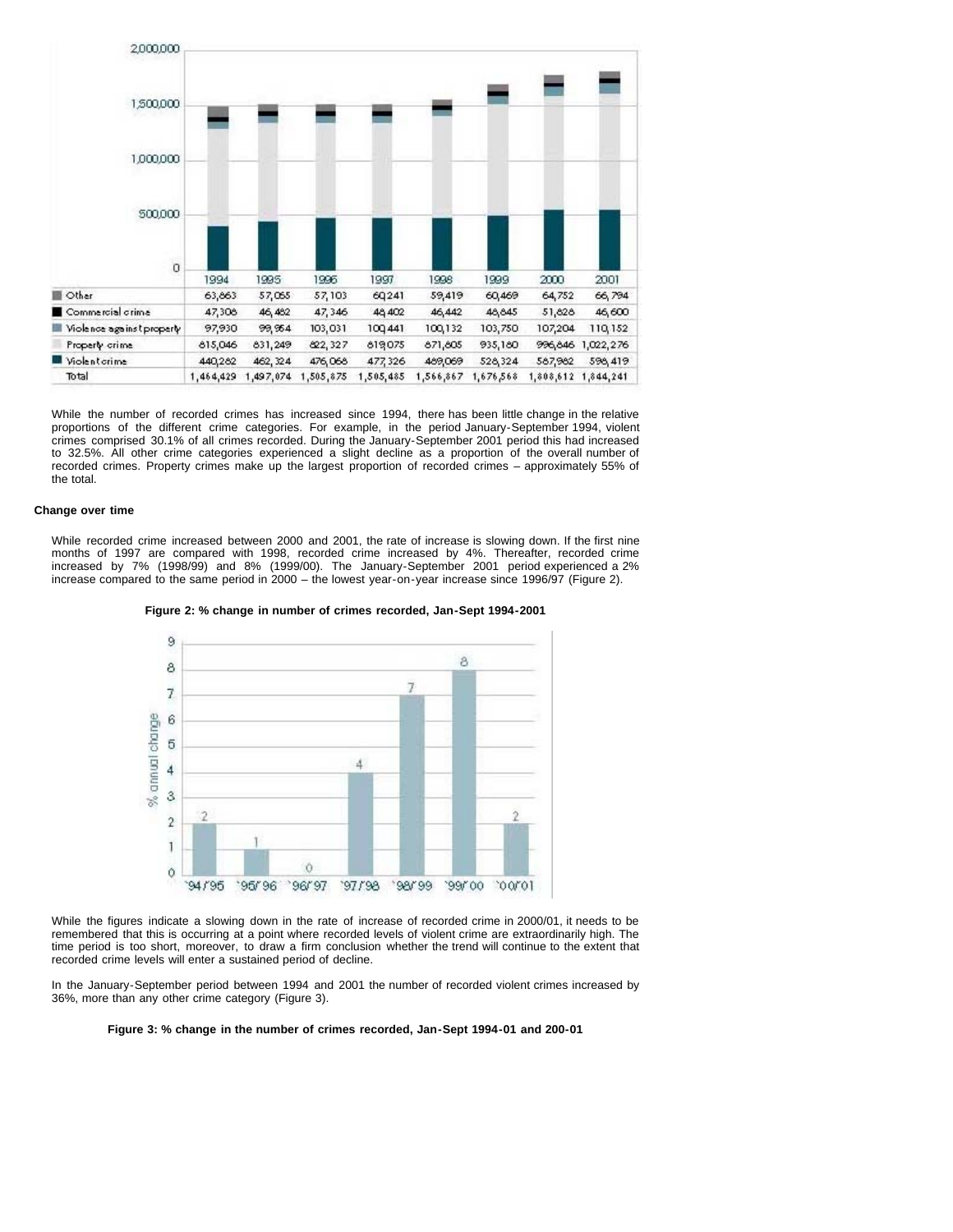

While the number of recorded crimes has increased since 1994, there has been little change in the relative proportions of the different crime categories. For example, in the period January-September 1994, violent crimes comprised 30.1% of all crimes recorded. During the January-September 2001 period this had increased to 32.5%. All other crime categories experienced a slight decline as a proportion of the overall number of recorded crimes. Property crimes make up the largest proportion of recorded crimes – approximately 55% of the total.

## **Change over time**

While recorded crime increased between 2000 and 2001, the rate of increase is slowing down. If the first nine months of 1997 are compared with 1998, recorded crime increased by 4%. Thereafter, recorded crime increased by 7% (1998/99) and 8% (1999/00). The January-September 2001 period experienced a 2% increase compared to the same period in 2000 – the lowest year-on-year increase since 1996/97 (Figure 2).





While the figures indicate a slowing down in the rate of increase of recorded crime in 2000/01, it needs to be remembered that this is occurring at a point where recorded levels of violent crime are extraordinarily high. The time period is too short, moreover, to draw a firm conclusion whether the trend will continue to the extent that recorded crime levels will enter a sustained period of decline.

In the January-September period between 1994 and 2001 the number of recorded violent crimes increased by 36%, more than any other crime category (Figure 3).

**Figure 3: % change in the number of crimes recorded, Jan-Sept 1994-01 and 200-01**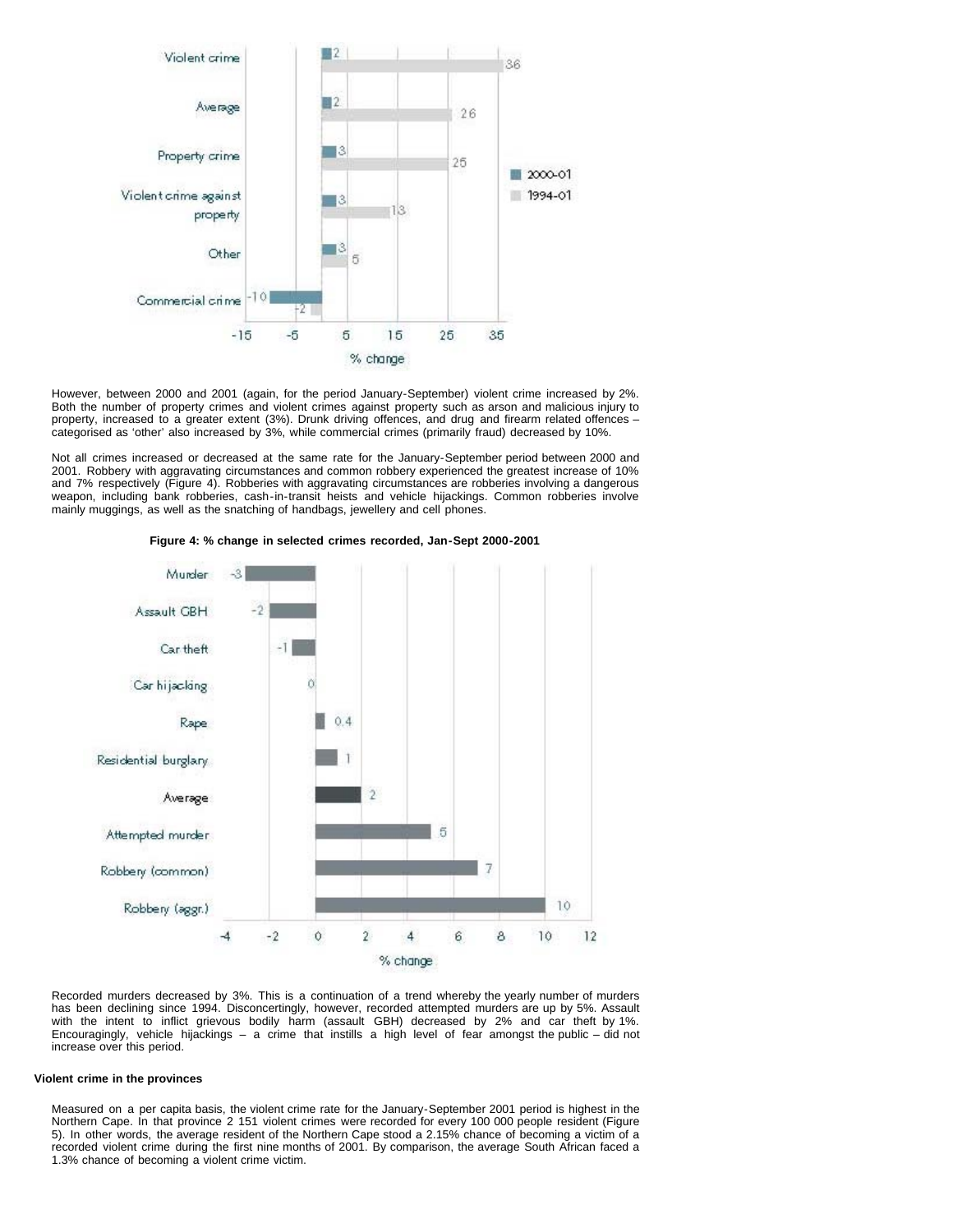

However, between 2000 and 2001 (again, for the period January-September) violent crime increased by 2%. Both the number of property crimes and violent crimes against property such as arson and malicious injury to property, increased to a greater extent (3%). Drunk driving offences, and drug and firearm related offences – categorised as 'other' also increased by 3%, while commercial crimes (primarily fraud) decreased by 10%.

Not all crimes increased or decreased at the same rate for the January-September period between 2000 and 2001. Robbery with aggravating circumstances and common robbery experienced the greatest increase of 10% and 7% respectively (Figure 4). Robberies with aggravating circumstances are robberies involving a dangerous weapon, including bank robberies, cash-in-transit heists and vehicle hijackings. Common robberies involve mainly muggings, as well as the snatching of handbags, jewellery and cell phones.



**Figure 4: % change in selected crimes recorded, Jan-Sept 2000-2001**

Recorded murders decreased by 3%. This is a continuation of a trend whereby the yearly number of murders has been declining since 1994. Disconcertingly, however, recorded attempted murders are up by 5%. Assault with the intent to inflict grievous bodily harm (assault GBH) decreased by 2% and car theft by 1%. Encouragingly, vehicle hijackings – a crime that instills a high level of fear amongst the public – did not increase over this period.

# **Violent crime in the provinces**

Measured on a per capita basis, the violent crime rate for the January-September 2001 period is highest in the Northern Cape. In that province 2 151 violent crimes were recorded for every 100 000 people resident (Figure 5). In other words, the average resident of the Northern Cape stood a 2.15% chance of becoming a victim of a recorded violent crime during the first nine months of 2001. By comparison, the average South African faced a 1.3% chance of becoming a violent crime victim.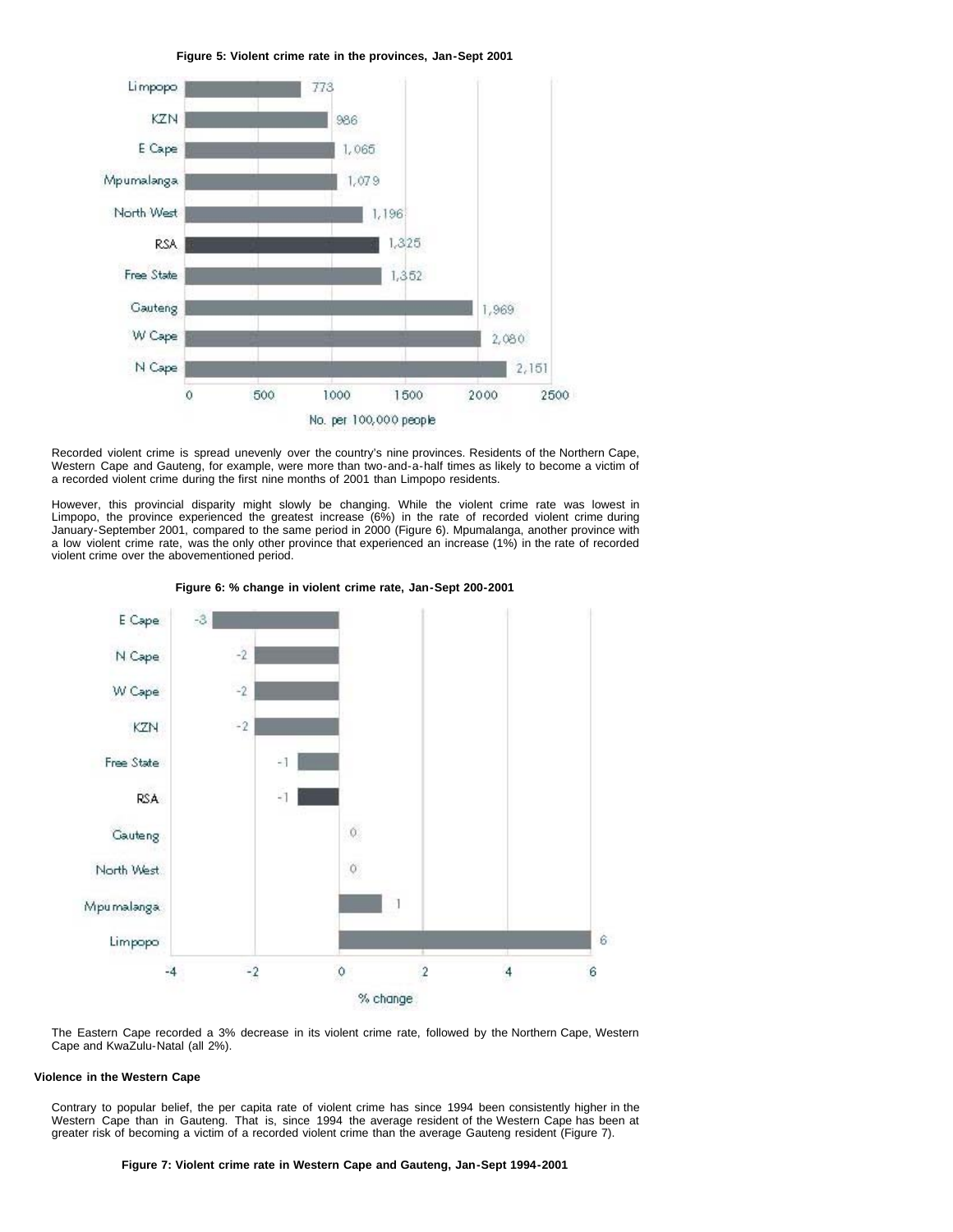**Figure 5: Violent crime rate in the provinces, Jan-Sept 2001**



Recorded violent crime is spread unevenly over the country's nine provinces. Residents of the Northern Cape, Western Cape and Gauteng, for example, were more than two-and-a-half times as likely to become a victim of a recorded violent crime during the first nine months of 2001 than Limpopo residents.

However, this provincial disparity might slowly be changing. While the violent crime rate was lowest in Limpopo, the province experienced the greatest increase (6%) in the rate of recorded violent crime during January-September 2001, compared to the same period in 2000 (Figure 6). Mpumalanga, another province with a low violent crime rate, was the only other province that experienced an increase (1%) in the rate of recorded violent crime over the abovementioned period.



**Figure 6: % change in violent crime rate, Jan-Sept 200-2001**

The Eastern Cape recorded a 3% decrease in its violent crime rate, followed by the Northern Cape, Western Cape and KwaZulu-Natal (all 2%).

# **Violence in the Western Cape**

Contrary to popular belief, the per capita rate of violent crime has since 1994 been consistently higher in the Western Cape than in Gauteng. That is, since 1994 the average resident of the Western Cape has been at greater risk of becoming a victim of a recorded violent crime than the average Gauteng resident (Figure 7).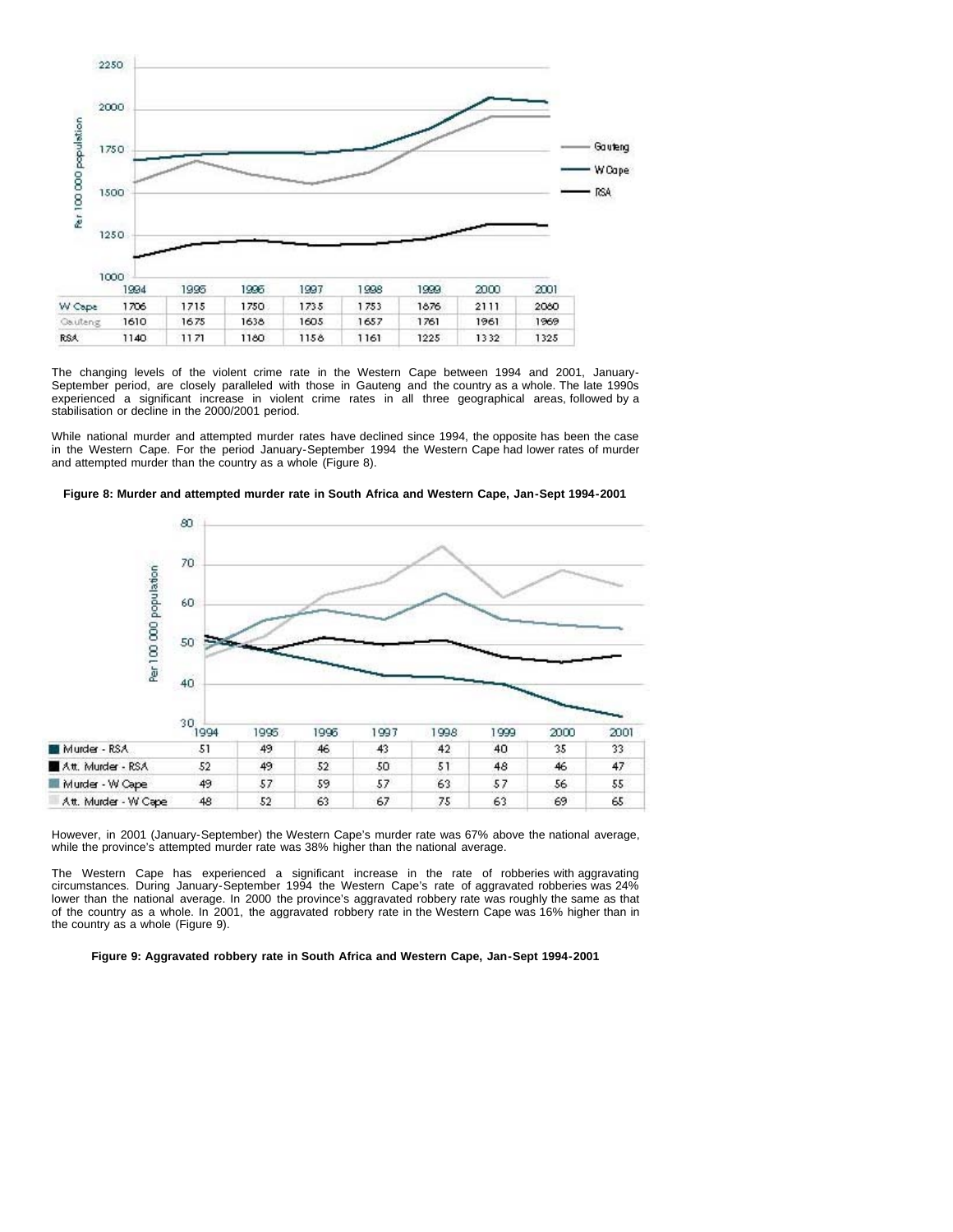

The changing levels of the violent crime rate in the Western Cape between 1994 and 2001, January-September period, are closely paralleled with those in Gauteng and the country as a whole. The late 1990s experienced a significant increase in violent crime rates in all three geographical areas, followed by a stabilisation or decline in the 2000/2001 period.

While national murder and attempted murder rates have declined since 1994, the opposite has been the case in the Western Cape. For the period January-September 1994 the Western Cape had lower rates of murder and attempted murder than the country as a whole (Figure 8).



**Figure 8: Murder and attempted murder rate in South Africa and Western Cape, Jan-Sept 1994-2001**

However, in 2001 (January-September) the Western Cape's murder rate was 67% above the national average, while the province's attempted murder rate was 38% higher than the national average.

The Western Cape has experienced a significant increase in the rate of robberies with aggravating circumstances. During January-September 1994 the Western Cape's rate of aggravated robberies was 24% lower than the national average. In 2000 the province's aggravated robbery rate was roughly the same as that of the country as a whole. In 2001, the aggravated robbery rate in the Western Cape was 16% higher than in the country as a whole (Figure 9).

**Figure 9: Aggravated robbery rate in South Africa and Western Cape, Jan-Sept 1994-2001**